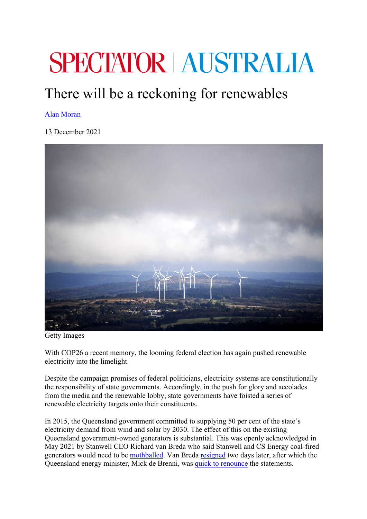## **SPECTATOR AUSTRALIA**

## There will be a reckoning for renewables

## Alan Moran

13 December 2021



Getty Images

With COP26 a recent memory, the looming federal election has again pushed renewable electricity into the limelight.

Despite the campaign promises of federal politicians, electricity systems are constitutionally the responsibility of state governments. Accordingly, in the push for glory and accolades from the media and the renewable lobby, state governments have foisted a series of renewable electricity targets onto their constituents.

In 2015, the Queensland government committed to supplying 50 per cent of the state's electricity demand from wind and solar by 2030. The effect of this on the existing Queensland government-owned generators is substantial. This was openly acknowledged in May 2021 by Stanwell CEO Richard van Breda who said Stanwell and CS Energy coal-fired generators would need to be mothballed. Van Breda resigned two days later, after which the Queensland energy minister, Mick de Brenni, was quick to renounce the statements.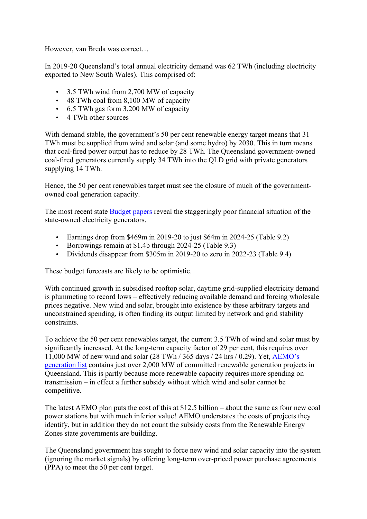However, van Breda was correct…

In 2019-20 Queensland's total annual electricity demand was 62 TWh (including electricity exported to New South Wales). This comprised of:

- 3.5 TWh wind from 2,700 MW of capacity
- 48 TWh coal from 8,100 MW of capacity
- 6.5 TWh gas form 3,200 MW of capacity
- 4 TWh other sources

With demand stable, the government's 50 per cent renewable energy target means that 31 TWh must be supplied from wind and solar (and some hydro) by 2030. This in turn means that coal-fired power output has to reduce by 28 TWh. The Queensland government-owned coal-fired generators currently supply 34 TWh into the QLD grid with private generators supplying 14 TWh.

Hence, the 50 per cent renewables target must see the closure of much of the governmentowned coal generation capacity.

The most recent state Budget papers reveal the staggeringly poor financial situation of the state-owned electricity generators.

- Earnings drop from \$469m in 2019-20 to just \$64m in 2024-25 (Table 9.2)
- Borrowings remain at \$1.4b through 2024-25 (Table 9.3)
- Dividends disappear from \$305m in 2019-20 to zero in 2022-23 (Table 9.4)

These budget forecasts are likely to be optimistic.

With continued growth in subsidised rooftop solar, daytime grid-supplied electricity demand is plummeting to record lows – effectively reducing available demand and forcing wholesale prices negative. New wind and solar, brought into existence by these arbitrary targets and unconstrained spending, is often finding its output limited by network and grid stability constraints.

To achieve the 50 per cent renewables target, the current 3.5 TWh of wind and solar must by significantly increased. At the long-term capacity factor of 29 per cent, this requires over 11,000 MW of new wind and solar (28 TWh / 365 days / 24 hrs / 0.29). Yet, AEMO's generation list contains just over 2,000 MW of committed renewable generation projects in Queensland. This is partly because more renewable capacity requires more spending on transmission – in effect a further subsidy without which wind and solar cannot be competitive.

The latest AEMO plan puts the cost of this at \$12.5 billion – about the same as four new coal power stations but with much inferior value! AEMO understates the costs of projects they identify, but in addition they do not count the subsidy costs from the Renewable Energy Zones state governments are building.

The Queensland government has sought to force new wind and solar capacity into the system (ignoring the market signals) by offering long-term over-priced power purchase agreements (PPA) to meet the 50 per cent target.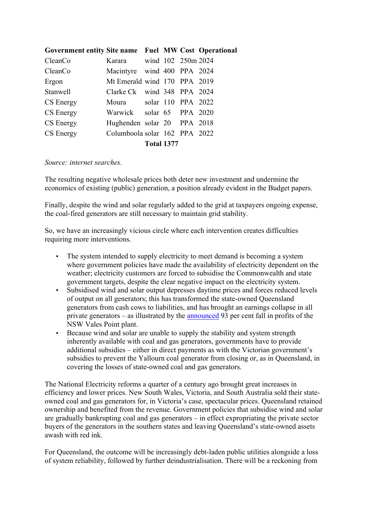|  | <b>Total 1377</b> | Government entity Site name Fuel MW Cost Operational<br>Karara wind 102 250m 2024<br>Macintyre wind 400 PPA 2024<br>Mt Emerald wind 170 PPA 2019<br>Clarke Ck wind 348 PPA 2024<br>Moura solar 110 PPA 2022<br>Warwick solar 65 PPA 2020<br>Hughenden solar 20 PPA 2018<br>Columboola solar 162 PPA 2022 |
|--|-------------------|----------------------------------------------------------------------------------------------------------------------------------------------------------------------------------------------------------------------------------------------------------------------------------------------------------|

## *Source: internet searches.*

The resulting negative wholesale prices both deter new investment and undermine the economics of existing (public) generation, a position already evident in the Budget papers.

Finally, despite the wind and solar regularly added to the grid at taxpayers ongoing expense, the coal-fired generators are still necessary to maintain grid stability.

So, we have an increasingly vicious circle where each intervention creates difficulties requiring more interventions.

- The system intended to supply electricity to meet demand is becoming a system where government policies have made the availability of electricity dependent on the weather; electricity customers are forced to subsidise the Commonwealth and state government targets, despite the clear negative impact on the electricity system.
- Subsidised wind and solar output depresses daytime prices and forces reduced levels of output on all generators; this has transformed the state-owned Queensland generators from cash cows to liabilities, and has brought an earnings collapse in all private generators – as illustrated by the announced 93 per cent fall in profits of the NSW Vales Point plant.
- Because wind and solar are unable to supply the stability and system strength inherently available with coal and gas generators, governments have to provide additional subsidies – either in direct payments as with the Victorian government's subsidies to prevent the Yallourn coal generator from closing or, as in Queensland, in covering the losses of state-owned coal and gas generators.

The National Electricity reforms a quarter of a century ago brought great increases in efficiency and lower prices. New South Wales, Victoria, and South Australia sold their stateowned coal and gas generators for, in Victoria's case, spectacular prices. Queensland retained ownership and benefited from the revenue. Government policies that subsidise wind and solar are gradually bankrupting coal and gas generators – in effect expropriating the private sector buyers of the generators in the southern states and leaving Queensland's state-owned assets awash with red ink.

For Queensland, the outcome will be increasingly debt-laden public utilities alongside a loss of system reliability, followed by further deindustrialisation. There will be a reckoning from